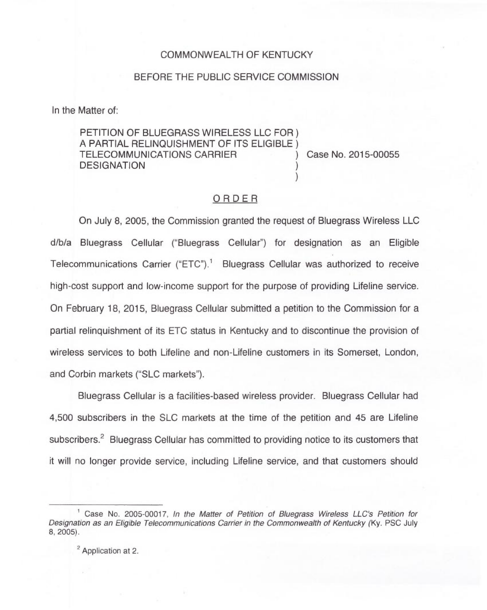## COMMONWEALTH OF KENTUCKY

## BEFORE THE PUBLIC SERVICE COMMISSION

In the Matter of:

PETITION OF BLUEGRASS WIRELESS LLC FOR ) <sup>A</sup> PARTIAL RELINQUISHMENT OF ITS ELIGIBLE ) TELECOMMUNICATIONS CARRIER ) Case No. 2015-00055 **DESIGNATION** 

## ORDER

)

On July 8, 2005, the Commission granted the request of Bluegrass Wireless LLC d/b/a Bluegrass Cellular ("Bluegrass Cellular") for designation as an Eligible Telecommunications Carrier ("ETC").<sup>1</sup> Bluegrass Cellular was authorized to receive high-cost support and low-income support for the purpose of providing Lifeline service. On February 18, 2015, Bluegrass Cellular submitted a petition to the Commission for a partial relinquishment of its ETC status in Kentucky and to discontinue the provision of wireless services to both Lifeline and non-Lifeline customers in its Somerset, London, and Corbin markets ("SLC markets").

Bluegrass Cellular is a facilities-based wireless provider. Bluegrass Cellular had 4,500 subscribers in the SLC markets at the time of the petition and 45 are Lifeline subscribers.<sup>2</sup> Bluegrass Cellular has committed to providing notice to its customers that it will no longer provide service, including Lifeline service, and that customers should

<sup>2</sup> Application at 2.

<sup>&</sup>lt;sup>1</sup> Case No. 2005-00017, In the Matter of Petition of Bluegrass Wireless LLC's Petition for Designation as an Eligible Telecommunications Carrier in the Commonwealth of Kentucky (Ky. PSC July 8, 2005).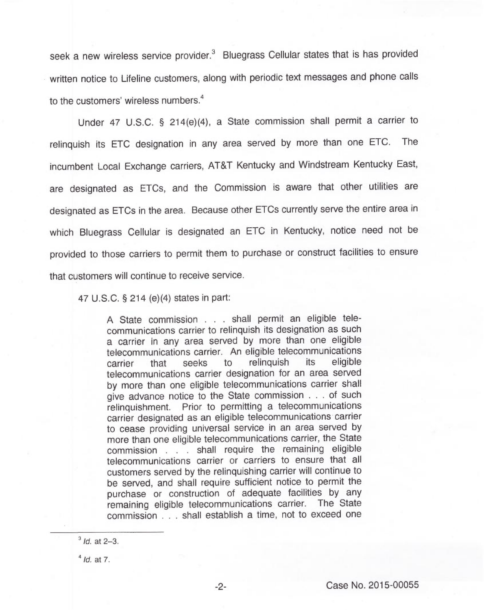seek a new wireless service provider.<sup>3</sup> Bluegrass Cellular states that is has provided written notice to Lifeline customers, along with periodic text messages and phone calls to the customers' wireless numbers.<sup>4</sup>

Under 47 U.S.C. § 214(e)(4), a State commission shall permit a carrier to relinquish its ETC designation in any area served by more than one ETC. The incumbent Local Exchange carriers, AT&T Kentucky and Windstream Kentucky East, are designated as ETCs, and the Commission is aware that other utilities are designated as ETCs in the area. Because other ETCs currently serve the entire area in which Bluegrass Cellular is designated an ETC in Kentucky, notice need not be provided to those carriers to permit them to purchase or construct facilities to ensure that customers will continue to receive service.

47 U.S.C. 5 214 (e)(4) states in part:

<sup>A</sup> State commission... shall permit an eligible telecommunications carrier to relinquish its designation as such a carrier in any area served by more than one eligible telecommunications carrier. An eligible telecommunications<br>carrier that seeks to relinquish its eligible carrier that seeks to relinquish telecommunications carrier designation for an area served by more than one eligible telecommunications carrier shall give advance notice to the State commission... of such relinquishment. Prior to permitting a telecommunications carrier designated as an eligible telecommunications carrier to cease providing universal service in an area served by more than one eligible telecommunications carrier, the State commission... shall require the remaining eligible telecommunications carrier or carriers to ensure that all customers served by the relinquishing carrier will continue to be served, and shall require sufficient notice to permit the purchase or construction of adequate facilities by any remaining eligible telecommunications carrier. The State commission... shall establish a time, not to exceed one

 $<sup>4</sup>$ Id. at 7.</sup>

 $3$  *Id.* at 2-3.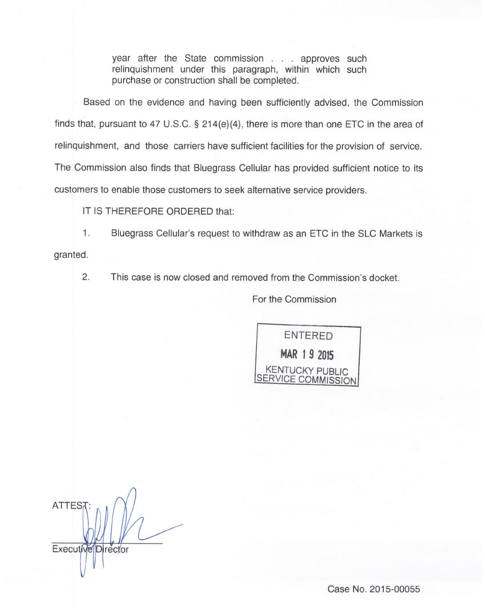year after the State commission... approves such relinquishment under this paragraph, within which such purchase or construction shall be completed.

Based on the evidence and having been sufficiently advised, the Commission finds that, pursuant to 47 U.S.C.  $\S$  214(e)(4), there is more than one ETC in the area of relinquishment, and those carriers have sufficient facilities for the provision of service. The Commission also finds that Bluegrass Cellular has provided sufficient notice to its customers to enable those customers to seek alternative service providers.

IT IS THEREFORE ORDERED that:

1. Bluegrass Cellular's request to withdraw as an ETC in the SLC Markets is granted.

2. This case is now closed and removed from the Commission's docket.

For the Commission

ENTERED MAR 1 9 2015 KENTUCKY PUBLIC SERVICE COMMISSION

**ATTEST** Executive Director